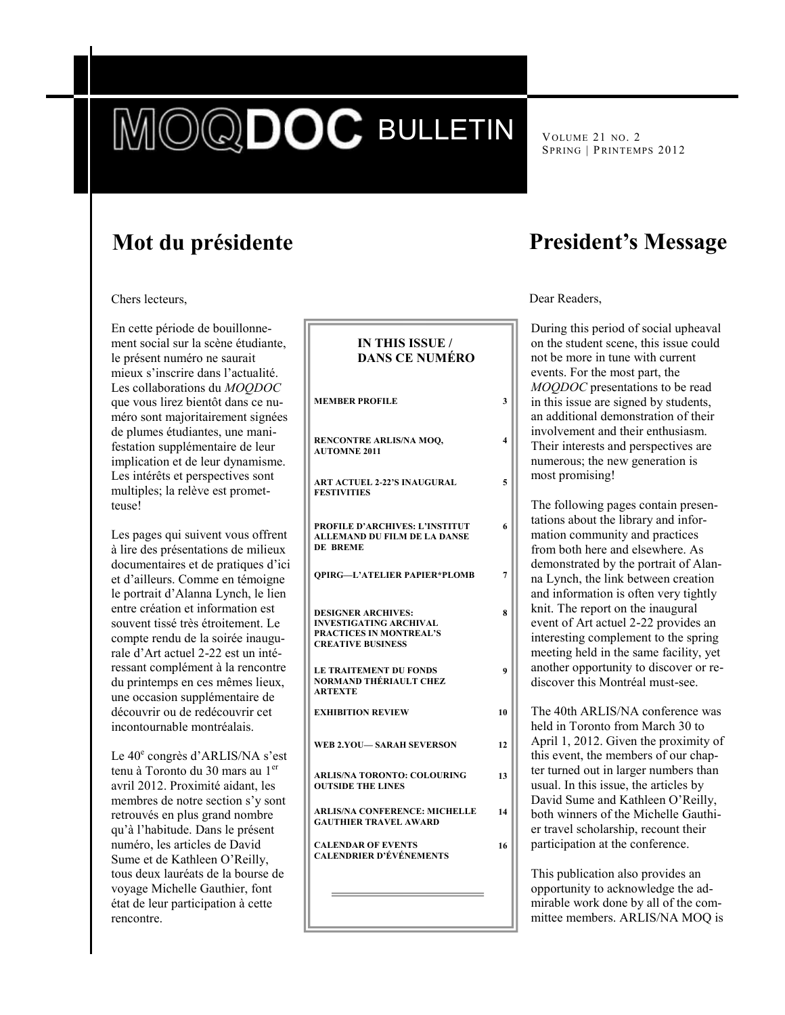# DIE BULLETIN

VOLUME 21 NO. 2 SPRING | PRINTEMPS 2012

# **Mot du présidente**

Chers lecteurs,

En cette période de bouillonnement social sur la scène étudiante, le présent numéro ne saurait mieux s'inscrire dans l'actualité. Les collaborations du *MOQDOC* que vous lirez bientôt dans ce numéro sont majoritairement signées de plumes étudiantes, une manifestation supplémentaire de leur implication et de leur dynamisme. Les intérêts et perspectives sont multiples; la relève est prometteuse!

Les pages qui suivent vous offrent à lire des présentations de milieux documentaires et de pratiques d'ici et d'ailleurs. Comme en témoigne le portrait d'Alanna Lynch, le lien entre création et information est souvent tissé très étroitement. Le compte rendu de la soirée inaugurale d'Art actuel 2-22 est un intéressant complément à la rencontre du printemps en ces mêmes lieux, une occasion supplémentaire de découvrir ou de redécouvrir cet incontournable montréalais.

Le 40<sup>e</sup> congrès d'ARLIS/NA s'est tenu à Toronto du 30 mars au 1<sup>er</sup> avril 2012. Proximité aidant, les membres de notre section s'y sont retrouvés en plus grand nombre qu'à l'habitude. Dans le présent numéro, les articles de David Sume et de Kathleen O'Reilly, tous deux lauréats de la bourse de voyage Michelle Gauthier, font état de leur participation à cette rencontre.

| <b>IN THIS ISSUE /</b><br><b>DANS CE NUMÉRO</b>                                                                   |                |
|-------------------------------------------------------------------------------------------------------------------|----------------|
| <b>MEMBER PROFILE</b>                                                                                             | 3              |
| RENCONTRE ARLIS/NA MOO,<br><b>AUTOMNE 2011</b>                                                                    | 4              |
| <b>ART ACTUEL 2-22'S INAUGURAL</b><br><b>FESTIVITIES</b>                                                          | 5              |
| <b>PROFILE D'ARCHIVES: L'INSTITUT</b><br><b>ALLEMAND DU FILM DE LA DANSE</b><br>DE BREME                          | 6              |
| <b>OPIRG-L'ATELIER PAPIER*PLOMB</b>                                                                               | $\overline{7}$ |
| <b>DESIGNER ARCHIVES:</b><br><b>INVESTIGATING ARCHIVAL</b><br>PRACTICES IN MONTREAL'S<br><b>CREATIVE BUSINESS</b> | 8              |
| <b>LE TRAITEMENT DU FONDS</b><br>NORMAND THÉRIAULT CHEZ<br><b>ARTEXTE</b>                                         | 9              |
| <b>EXHIBITION REVIEW</b>                                                                                          | 10             |
| <b>WEB 2.YOU— SARAH SEVERSON</b>                                                                                  | 12             |
| <b>ARLIS/NA TORONTO: COLOURING</b><br><b>OUTSIDE THE LINES</b>                                                    | 13             |
| <b>ARLIS/NA CONFERENCE: MICHELLE</b><br><b>GAUTHIER TRAVEL AWARD</b>                                              | 14             |
| <b>CALENDAR OF EVENTS</b><br><b>CALENDRIER D'ÉVÉNEMENTS</b>                                                       | 16             |
|                                                                                                                   |                |

# **President's Message**

Dear Readers,

**4**

**5**

**6**

**8**

**9**

**13**

**14**

**16**

During this period of social upheaval on the student scene, this issue could not be more in tune with current events. For the most part, the *MOQDOC* presentations to be read in this issue are signed by students, an additional demonstration of their involvement and their enthusiasm. Their interests and perspectives are numerous; the new generation is most promising!

The following pages contain presentations about the library and information community and practices from both here and elsewhere. As demonstrated by the portrait of Alanna Lynch, the link between creation and information is often very tightly knit. The report on the inaugural event of Art actuel 2-22 provides an interesting complement to the spring meeting held in the same facility, yet another opportunity to discover or rediscover this Montréal must-see.

The 40th ARLIS/NA conference was held in Toronto from March 30 to April 1, 2012. Given the proximity of this event, the members of our chapter turned out in larger numbers than usual. In this issue, the articles by David Sume and Kathleen O'Reilly, both winners of the Michelle Gauthier travel scholarship, recount their participation at the conference.

This publication also provides an opportunity to acknowledge the admirable work done by all of the committee members. ARLIS/NA MOQ is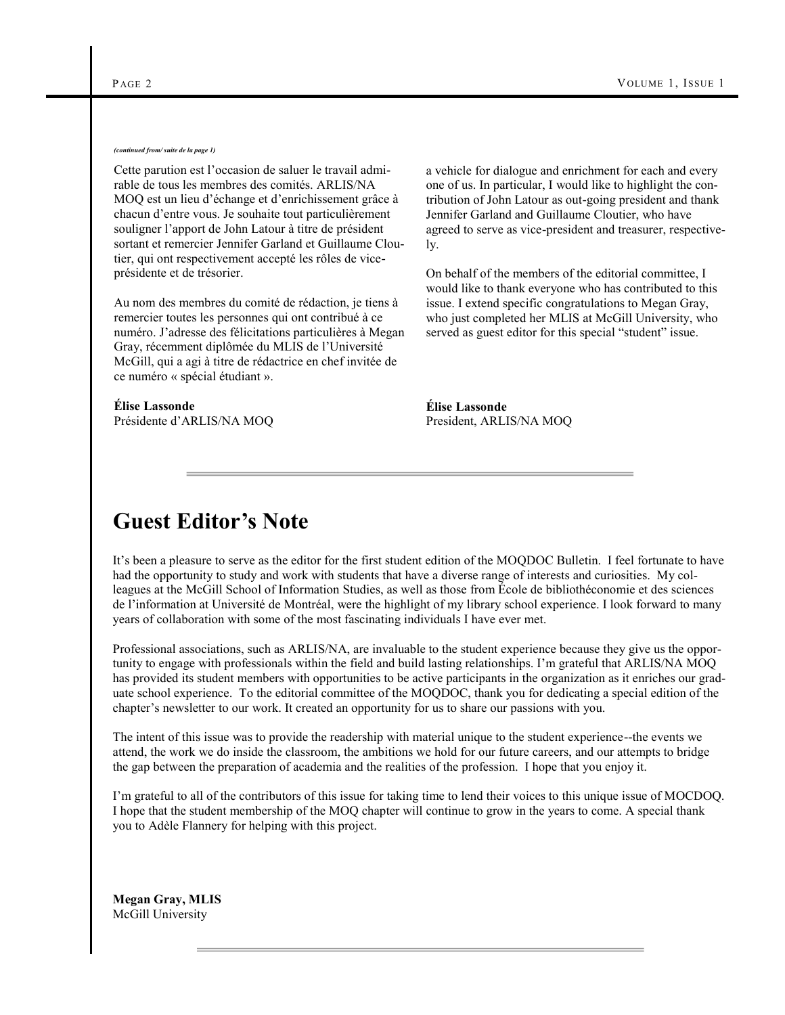#### *(continued from/ suite de la page 1)*

Cette parution est l'occasion de saluer le travail admirable de tous les membres des comités. ARLIS/NA MOQ est un lieu d'échange et d'enrichissement grâce à chacun d'entre vous. Je souhaite tout particulièrement souligner l'apport de John Latour à titre de président sortant et remercier Jennifer Garland et Guillaume Cloutier, qui ont respectivement accepté les rôles de viceprésidente et de trésorier.

Au nom des membres du comité de rédaction, je tiens à remercier toutes les personnes qui ont contribué à ce numéro. J'adresse des félicitations particulières à Megan Gray, récemment diplômée du MLIS de l'Université McGill, qui a agi à titre de rédactrice en chef invitée de ce numéro « spécial étudiant ».

#### **Élise Lassonde** Présidente d'ARLIS/NA MOQ

a vehicle for dialogue and enrichment for each and every one of us. In particular, I would like to highlight the contribution of John Latour as out-going president and thank Jennifer Garland and Guillaume Cloutier, who have agreed to serve as vice-president and treasurer, respectively.

On behalf of the members of the editorial committee, I would like to thank everyone who has contributed to this issue. I extend specific congratulations to Megan Gray, who just completed her MLIS at McGill University, who served as guest editor for this special "student" issue.

**Élise Lassonde** President, ARLIS/NA MOQ

# **Guest Editor's Note**

It's been a pleasure to serve as the editor for the first student edition of the MOQDOC Bulletin. I feel fortunate to have had the opportunity to study and work with students that have a diverse range of interests and curiosities. My colleagues at the McGill School of Information Studies, as well as those from École de bibliothéconomie et des sciences de l'information at Université de Montréal, were the highlight of my library school experience. I look forward to many years of collaboration with some of the most fascinating individuals I have ever met.

Professional associations, such as ARLIS/NA, are invaluable to the student experience because they give us the opportunity to engage with professionals within the field and build lasting relationships. I'm grateful that ARLIS/NA MOQ has provided its student members with opportunities to be active participants in the organization as it enriches our graduate school experience. To the editorial committee of the MOQDOC, thank you for dedicating a special edition of the chapter's newsletter to our work. It created an opportunity for us to share our passions with you.

The intent of this issue was to provide the readership with material unique to the student experience--the events we attend, the work we do inside the classroom, the ambitions we hold for our future careers, and our attempts to bridge the gap between the preparation of academia and the realities of the profession. I hope that you enjoy it.

I'm grateful to all of the contributors of this issue for taking time to lend their voices to this unique issue of MOCDOQ. I hope that the student membership of the MOQ chapter will continue to grow in the years to come. A special thank you to Adèle Flannery for helping with this project.

**Megan Gray, MLIS** McGill University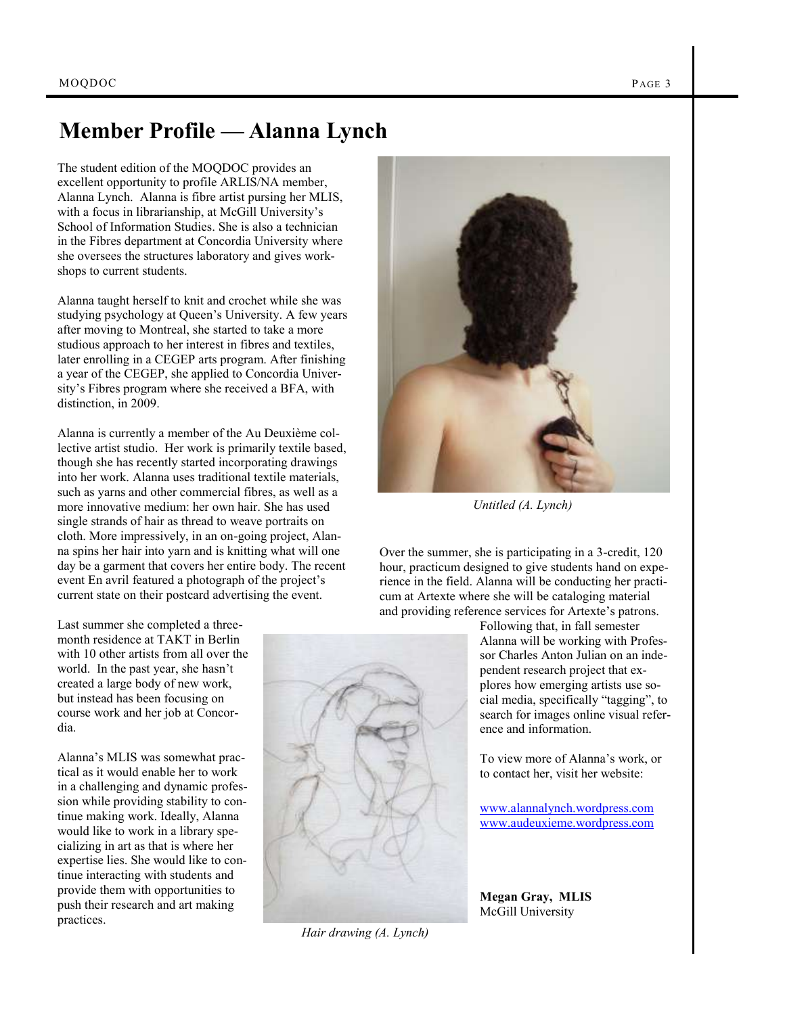# **Member Profile — Alanna Lynch**

The student edition of the MOQDOC provides an excellent opportunity to profile ARLIS/NA member, Alanna Lynch. Alanna is fibre artist pursing her MLIS, with a focus in librarianship, at McGill University's School of Information Studies. She is also a technician in the Fibres department at Concordia University where she oversees the structures laboratory and gives workshops to current students.

Alanna taught herself to knit and crochet while she was studying psychology at Queen's University. A few years after moving to Montreal, she started to take a more studious approach to her interest in fibres and textiles, later enrolling in a CEGEP arts program. After finishing a year of the CEGEP, she applied to Concordia University's Fibres program where she received a BFA, with distinction, in 2009.

Alanna is currently a member of the Au Deuxième collective artist studio. Her work is primarily textile based, though she has recently started incorporating drawings into her work. Alanna uses traditional textile materials, such as yarns and other commercial fibres, as well as a more innovative medium: her own hair. She has used single strands of hair as thread to weave portraits on cloth. More impressively, in an on-going project, Alanna spins her hair into yarn and is knitting what will one day be a garment that covers her entire body. The recent event En avril featured a photograph of the project's current state on their postcard advertising the event.

Last summer she completed a threemonth residence at TAKT in Berlin with 10 other artists from all over the world. In the past year, she hasn't created a large body of new work, but instead has been focusing on course work and her job at Concordia.

Alanna's MLIS was somewhat practical as it would enable her to work in a challenging and dynamic profession while providing stability to continue making work. Ideally, Alanna would like to work in a library specializing in art as that is where her expertise lies. She would like to continue interacting with students and provide them with opportunities to push their research and art making practices.



*Untitled (A. Lynch)*

Over the summer, she is participating in a 3-credit, 120 hour, practicum designed to give students hand on experience in the field. Alanna will be conducting her practicum at Artexte where she will be cataloging material and providing reference services for Artexte's patrons.

> Following that, in fall semester Alanna will be working with Professor Charles Anton Julian on an independent research project that explores how emerging artists use social media, specifically "tagging", to search for images online visual reference and information.

To view more of Alanna's work, or to contact her, visit her website:

[www.alannalynch.wordpress.com](http://www.alannalynch.wordpress.com) [www.audeuxieme.wordpress.com](http://www.audeuxieme.wordpress.com)

**Megan Gray, MLIS** McGill University

*Hair drawing (A. Lynch)*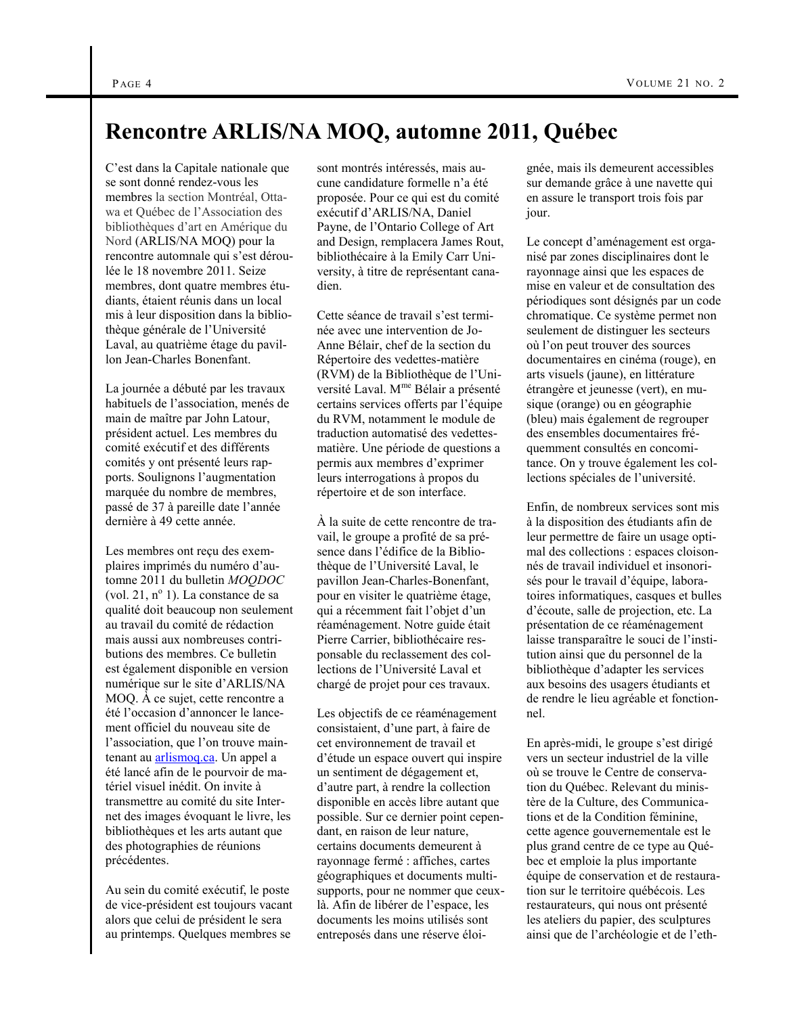## **Rencontre ARLIS/NA MOQ, automne 2011, Québec**

C'est dans la Capitale nationale que se sont donné rendez-vous les membres la section Montréal, Ottawa et Québec de l'Association des bibliothèques d'art en Amérique du Nord (ARLIS/NA MOQ) pour la rencontre automnale qui s'est déroulée le 18 novembre 2011. Seize membres, dont quatre membres étudiants, étaient réunis dans un local mis à leur disposition dans la bibliothèque générale de l'Université Laval, au quatrième étage du pavillon Jean-Charles Bonenfant.

La journée a débuté par les travaux habituels de l'association, menés de main de maître par John Latour, président actuel. Les membres du comité exécutif et des différents comités y ont présenté leurs rapports. Soulignons l'augmentation marquée du nombre de membres, passé de 37 à pareille date l'année dernière à 49 cette année.

Les membres ont reçu des exemplaires imprimés du numéro d'automne 2011 du bulletin *MOQDOC*  (vol. 21, nº 1). La constance de sa qualité doit beaucoup non seulement au travail du comité de rédaction mais aussi aux nombreuses contributions des membres. Ce bulletin est également disponible en version numérique sur le site d'ARLIS/NA MOQ. À ce sujet, cette rencontre a été l'occasion d'annoncer le lancement officiel du nouveau site de l'association, que l'on trouve maintenant au [arlismoq.ca.](http://arlismoq.ca/) Un appel a été lancé afin de le pourvoir de matériel visuel inédit. On invite à transmettre au comité du site Internet des images évoquant le livre, les bibliothèques et les arts autant que des photographies de réunions précédentes.

Au sein du comité exécutif, le poste de vice-président est toujours vacant alors que celui de président le sera au printemps. Quelques membres se

sont montrés intéressés, mais aucune candidature formelle n'a été proposée. Pour ce qui est du comité exécutif d'ARLIS/NA, Daniel Payne, de l'Ontario College of Art and Design, remplacera James Rout, bibliothécaire à la Emily Carr University, à titre de représentant canadien.

Cette séance de travail s'est terminée avec une intervention de Jo-Anne Bélair, chef de la section du Répertoire des vedettes-matière (RVM) de la Bibliothèque de l'Université Laval. Mme Bélair a présenté certains services offerts par l'équipe du RVM, notamment le module de traduction automatisé des vedettesmatière. Une période de questions a permis aux membres d'exprimer leurs interrogations à propos du répertoire et de son interface.

À la suite de cette rencontre de travail, le groupe a profité de sa présence dans l'édifice de la Bibliothèque de l'Université Laval, le pavillon Jean-Charles-Bonenfant, pour en visiter le quatrième étage, qui a récemment fait l'objet d'un réaménagement. Notre guide était Pierre Carrier, bibliothécaire responsable du reclassement des collections de l'Université Laval et chargé de projet pour ces travaux.

Les objectifs de ce réaménagement consistaient, d'une part, à faire de cet environnement de travail et d'étude un espace ouvert qui inspire un sentiment de dégagement et, d'autre part, à rendre la collection disponible en accès libre autant que possible. Sur ce dernier point cependant, en raison de leur nature, certains documents demeurent à rayonnage fermé : affiches, cartes géographiques et documents multisupports, pour ne nommer que ceuxlà. Afin de libérer de l'espace, les documents les moins utilisés sont entreposés dans une réserve éloignée, mais ils demeurent accessibles sur demande grâce à une navette qui en assure le transport trois fois par jour.

Le concept d'aménagement est organisé par zones disciplinaires dont le rayonnage ainsi que les espaces de mise en valeur et de consultation des périodiques sont désignés par un code chromatique. Ce système permet non seulement de distinguer les secteurs où l'on peut trouver des sources documentaires en cinéma (rouge), en arts visuels (jaune), en littérature étrangère et jeunesse (vert), en musique (orange) ou en géographie (bleu) mais également de regrouper des ensembles documentaires fréquemment consultés en concomitance. On y trouve également les collections spéciales de l'université.

Enfin, de nombreux services sont mis à la disposition des étudiants afin de leur permettre de faire un usage optimal des collections : espaces cloisonnés de travail individuel et insonorisés pour le travail d'équipe, laboratoires informatiques, casques et bulles d'écoute, salle de projection, etc. La présentation de ce réaménagement laisse transparaître le souci de l'institution ainsi que du personnel de la bibliothèque d'adapter les services aux besoins des usagers étudiants et de rendre le lieu agréable et fonctionnel.

En après-midi, le groupe s'est dirigé vers un secteur industriel de la ville où se trouve le Centre de conservation du Québec. Relevant du ministère de la Culture, des Communications et de la Condition féminine, cette agence gouvernementale est le plus grand centre de ce type au Québec et emploie la plus importante équipe de conservation et de restauration sur le territoire québécois. Les restaurateurs, qui nous ont présenté les ateliers du papier, des sculptures ainsi que de l'archéologie et de l'eth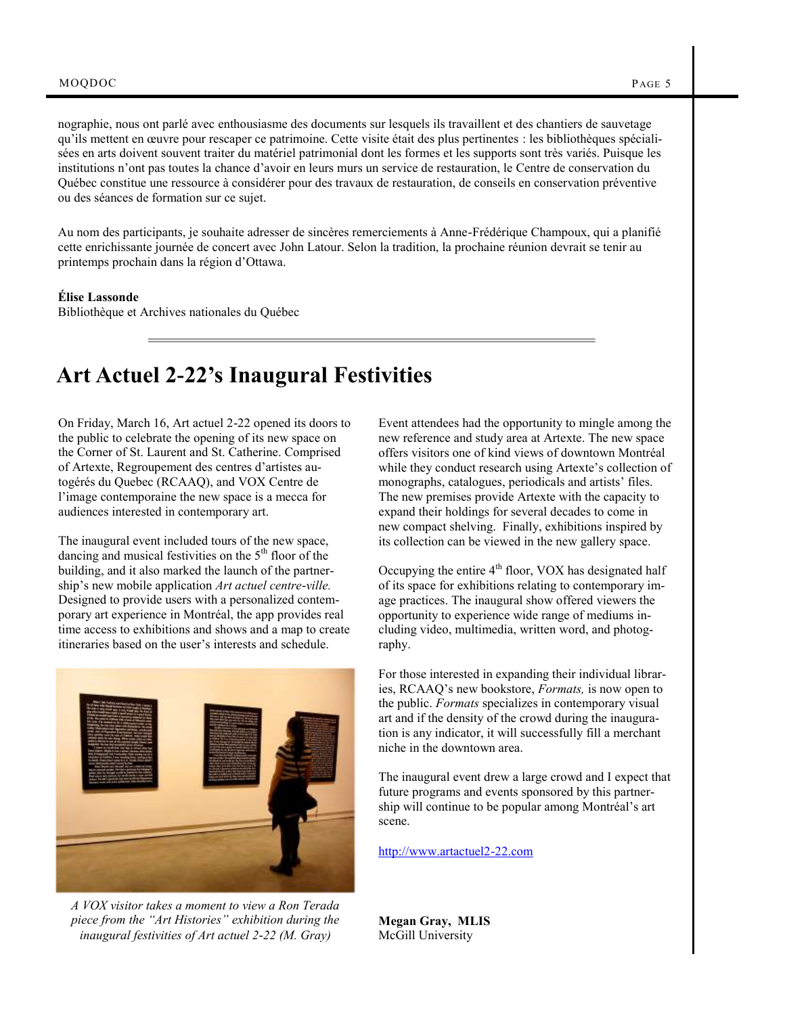nographie, nous ont parlé avec enthousiasme des documents sur lesquels ils travaillent et des chantiers de sauvetage qu'ils mettent en œuvre pour rescaper ce patrimoine. Cette visite était des plus pertinentes : les bibliothèques spécialisées en arts doivent souvent traiter du matériel patrimonial dont les formes et les supports sont très variés. Puisque les institutions n'ont pas toutes la chance d'avoir en leurs murs un service de restauration, le Centre de conservation du Québec constitue une ressource à considérer pour des travaux de restauration, de conseils en conservation préventive ou des séances de formation sur ce sujet.

Au nom des participants, je souhaite adresser de sincères remerciements à Anne-Frédérique Champoux, qui a planifié cette enrichissante journée de concert avec John Latour. Selon la tradition, la prochaine réunion devrait se tenir au printemps prochain dans la région d'Ottawa.

#### **Élise Lassonde**

Bibliothèque et Archives nationales du Québec

# **Art Actuel 2-22's Inaugural Festivities**

On Friday, March 16, Art actuel 2-22 opened its doors to the public to celebrate the opening of its new space on the Corner of St. Laurent and St. Catherine. Comprised of Artexte, Regroupement des centres d'artistes autogérés du Quebec (RCAAQ), and VOX Centre de l'image contemporaine the new space is a mecca for audiences interested in contemporary art.

The inaugural event included tours of the new space, dancing and musical festivities on the  $5<sup>th</sup>$  floor of the building, and it also marked the launch of the partnership's new mobile application *Art actuel centre-ville.*  Designed to provide users with a personalized contemporary art experience in Montréal, the app provides real time access to exhibitions and shows and a map to create itineraries based on the user's interests and schedule.



*A VOX visitor takes a moment to view a Ron Terada piece from the "Art Histories" exhibition during the inaugural festivities of Art actuel 2-22 (M. Gray)*

Event attendees had the opportunity to mingle among the new reference and study area at Artexte. The new space offers visitors one of kind views of downtown Montréal while they conduct research using Artexte's collection of monographs, catalogues, periodicals and artists' files. The new premises provide Artexte with the capacity to expand their holdings for several decades to come in new compact shelving. Finally, exhibitions inspired by its collection can be viewed in the new gallery space.

Occupying the entire 4<sup>th</sup> floor, VOX has designated half of its space for exhibitions relating to contemporary image practices. The inaugural show offered viewers the opportunity to experience wide range of mediums including video, multimedia, written word, and photography.

For those interested in expanding their individual libraries, RCAAQ's new bookstore, *Formats,* is now open to the public. *Formats* specializes in contemporary visual art and if the density of the crowd during the inauguration is any indicator, it will successfully fill a merchant niche in the downtown area.

The inaugural event drew a large crowd and I expect that future programs and events sponsored by this partnership will continue to be popular among Montréal's art scene.

<http://www.artactuel2-22.com>

**Megan Gray, MLIS** McGill University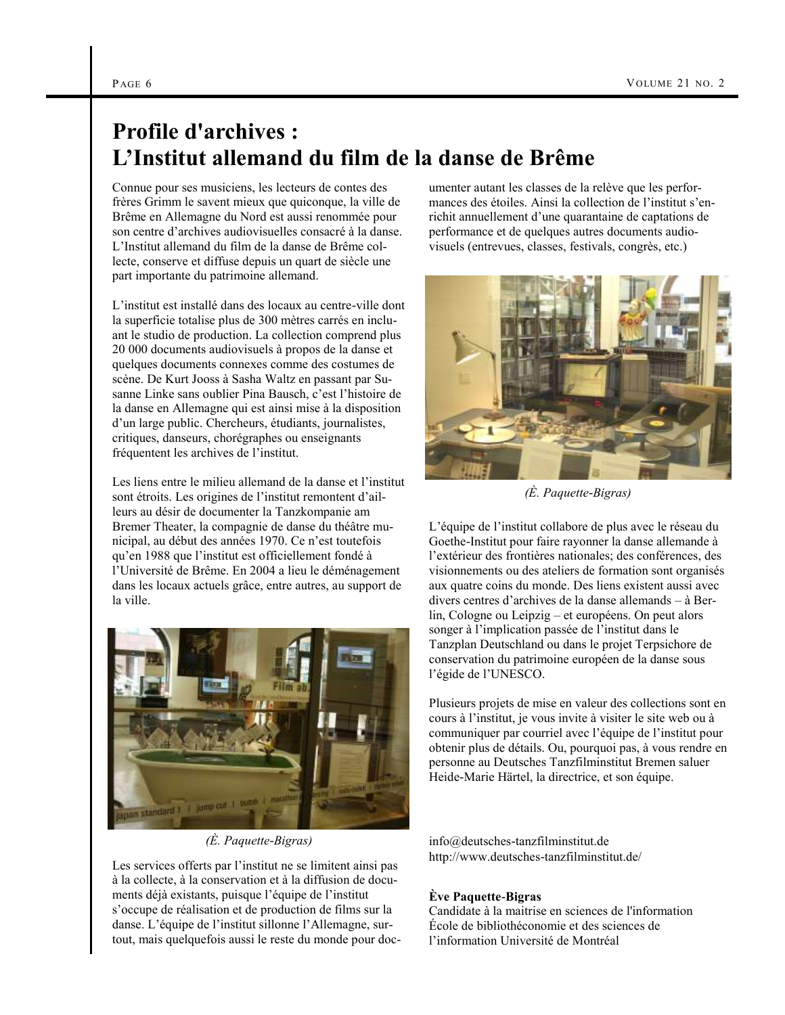# **Profile d'archives : L'Institut allemand du film de la danse de Brême**

Connue pour ses musiciens, les lecteurs de contes des frères Grimm le savent mieux que quiconque, la ville de Brême en Allemagne du Nord est aussi renommée pour son centre d'archives audiovisuelles consacré à la danse. L'Institut allemand du film de la danse de Brême collecte, conserve et diffuse depuis un quart de siècle une part importante du patrimoine allemand.

L'institut est installé dans des locaux au centre-ville dont la superficie totalise plus de 300 mètres carrés en incluant le studio de production. La collection comprend plus 20 000 documents audiovisuels à propos de la danse et quelques documents connexes comme des costumes de scène. De Kurt Jooss à Sasha Waltz en passant par Susanne Linke sans oublier Pina Bausch, c'est l'histoire de la danse en Allemagne qui est ainsi mise à la disposition d'un large public. Chercheurs, étudiants, journalistes, critiques, danseurs, chorégraphes ou enseignants fréquentent les archives de l'institut.

Les liens entre le milieu allemand de la danse et l'institut sont étroits. Les origines de l'institut remontent d'ailleurs au désir de documenter la Tanzkompanie am Bremer Theater, la compagnie de danse du théâtre municipal, au début des années 1970. Ce n'est toutefois qu'en 1988 que l'institut est officiellement fondé à l'Université de Brême. En 2004 a lieu le déménagement dans les locaux actuels grâce, entre autres, au support de la ville.



*(È. Paquette-Bigras)*

Les services offerts par l'institut ne se limitent ainsi pas à la collecte, à la conservation et à la diffusion de documents déjà existants, puisque l'équipe de l'institut s'occupe de réalisation et de production de films sur la danse. L'équipe de l'institut sillonne l'Allemagne, surtout, mais quelquefois aussi le reste du monde pour documenter autant les classes de la relève que les performances des étoiles. Ainsi la collection de l'institut s'enrichit annuellement d'une quarantaine de captations de performance et de quelques autres documents audiovisuels (entrevues, classes, festivals, congrès, etc.)



*(È. Paquette-Bigras)*

L'équipe de l'institut collabore de plus avec le réseau du Goethe-Institut pour faire rayonner la danse allemande à l'extérieur des frontières nationales; des conférences, des visionnements ou des ateliers de formation sont organisés aux quatre coins du monde. Des liens existent aussi avec divers centres d'archives de la danse allemands – à Berlin, Cologne ou Leipzig – et européens. On peut alors songer à l'implication passée de l'institut dans le Tanzplan Deutschland ou dans le projet Terpsichore de conservation du patrimoine européen de la danse sous l'égide de l'UNESCO.

Plusieurs projets de mise en valeur des collections sont en cours à l'institut, je vous invite à visiter le site web ou à communiquer par courriel avec l'équipe de l'institut pour obtenir plus de détails. Ou, pourquoi pas, à vous rendre en personne au Deutsches Tanzfilminstitut Bremen saluer Heide-Marie Härtel, la directrice, et son équipe.

info@deutsches-tanzfilminstitut.de http://www.deutsches-tanzfilminstitut.de/

## **Ève Paquette-Bigras**

Candidate à la maitrise en sciences de l'information École de bibliothéconomie et des sciences de l'information Université de Montréal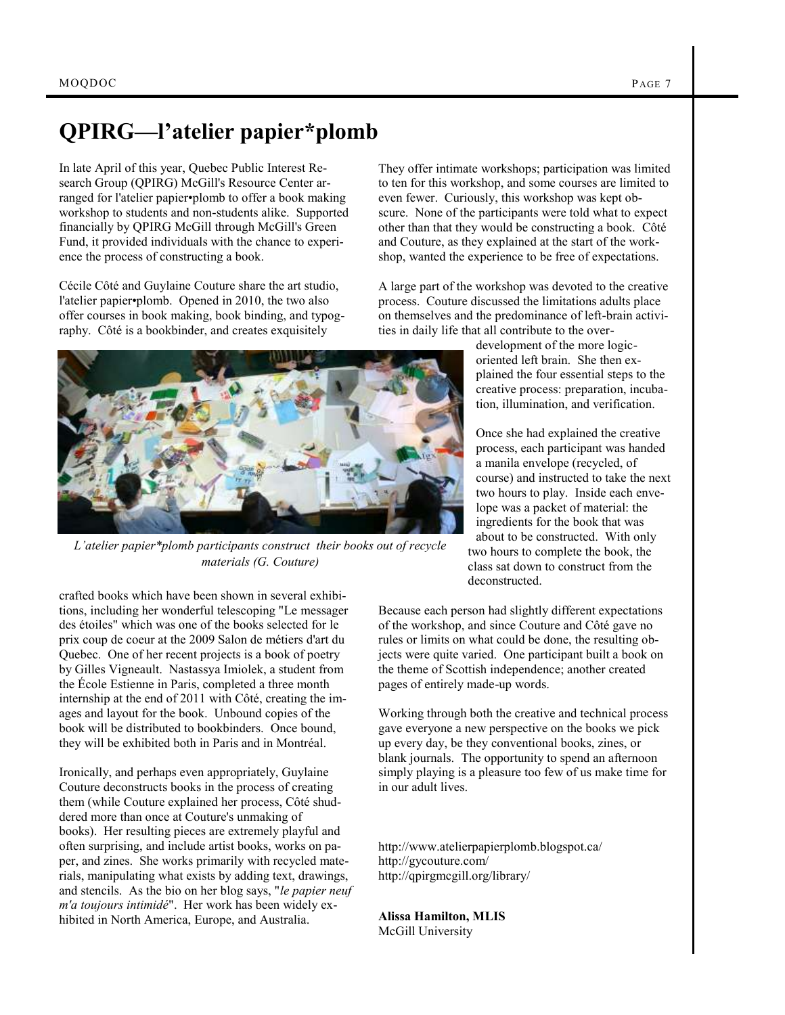# **QPIRG—l'atelier papier\*plomb**

In late April of this year, Quebec Public Interest Research Group (QPIRG) McGill's Resource Center arranged for l'atelier papier•plomb to offer a book making workshop to students and non-students alike. Supported financially by QPIRG McGill through McGill's Green Fund, it provided individuals with the chance to experience the process of constructing a book.

Cécile Côté and Guylaine Couture share the art studio, l'atelier papier•plomb. Opened in 2010, the two also offer courses in book making, book binding, and typography. Côté is a bookbinder, and creates exquisitely



*L'atelier papier\*plomb participants construct their books out of recycle materials (G. Couture)*

crafted books which have been shown in several exhibitions, including her wonderful telescoping "Le messager des étoiles" which was one of the books selected for le prix coup de coeur at the 2009 Salon de métiers d'art du Quebec. One of her recent projects is a book of poetry by Gilles Vigneault. Nastassya Imiolek, a student from the École Estienne in Paris, completed a three month internship at the end of 2011 with Côté, creating the images and layout for the book. Unbound copies of the book will be distributed to bookbinders. Once bound, they will be exhibited both in Paris and in Montréal.

Ironically, and perhaps even appropriately, Guylaine Couture deconstructs books in the process of creating them (while Couture explained her process, Côté shuddered more than once at Couture's unmaking of books). Her resulting pieces are extremely playful and often surprising, and include artist books, works on paper, and zines. She works primarily with recycled materials, manipulating what exists by adding text, drawings, and stencils. As the bio on her blog says, "*le papier neuf m'a toujours intimidé*". Her work has been widely exhibited in North America, Europe, and Australia.

They offer intimate workshops; participation was limited to ten for this workshop, and some courses are limited to even fewer. Curiously, this workshop was kept obscure. None of the participants were told what to expect other than that they would be constructing a book. Côté and Couture, as they explained at the start of the workshop, wanted the experience to be free of expectations.

A large part of the workshop was devoted to the creative process. Couture discussed the limitations adults place on themselves and the predominance of left-brain activities in daily life that all contribute to the over-

> development of the more logicoriented left brain. She then explained the four essential steps to the creative process: preparation, incubation, illumination, and verification.

Once she had explained the creative process, each participant was handed a manila envelope (recycled, of course) and instructed to take the next two hours to play. Inside each envelope was a packet of material: the ingredients for the book that was about to be constructed. With only two hours to complete the book, the class sat down to construct from the deconstructed.

Because each person had slightly different expectations of the workshop, and since Couture and Côté gave no rules or limits on what could be done, the resulting objects were quite varied. One participant built a book on the theme of Scottish independence; another created pages of entirely made-up words.

Working through both the creative and technical process gave everyone a new perspective on the books we pick up every day, be they conventional books, zines, or blank journals. The opportunity to spend an afternoon simply playing is a pleasure too few of us make time for in our adult lives.

http://www.atelierpapierplomb.blogspot.ca/ http://gycouture.com/ <http://qpirgmcgill.org/library/>

**Alissa Hamilton, MLIS** McGill University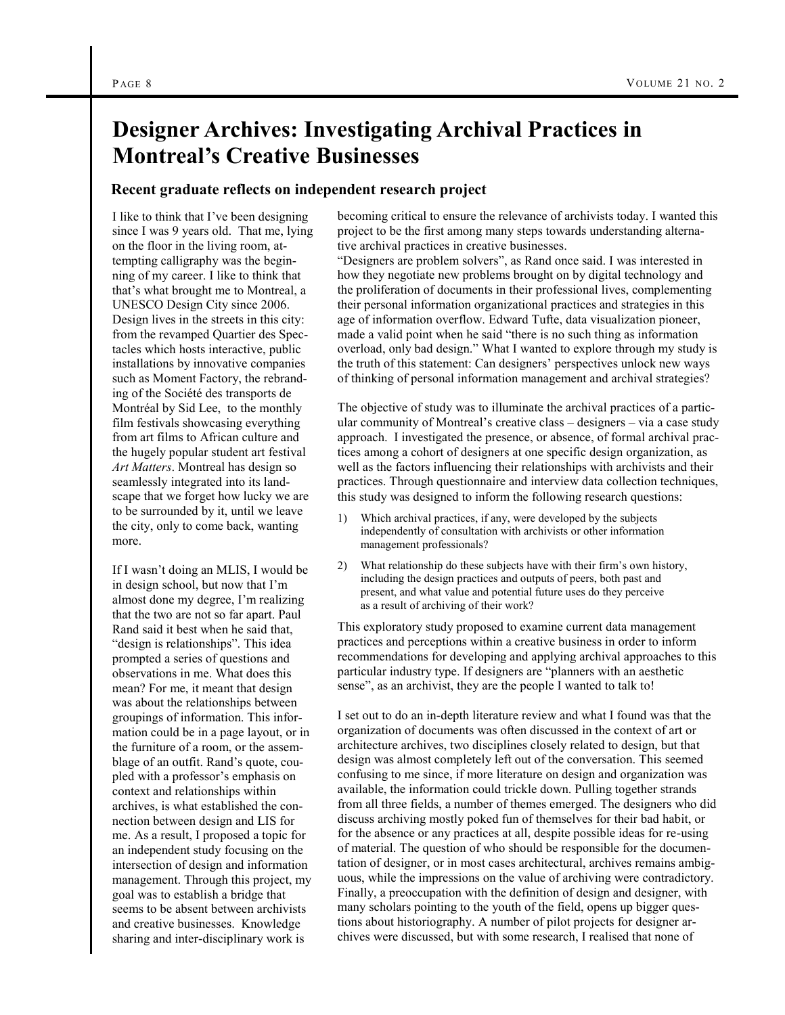# **Designer Archives: Investigating Archival Practices in Montreal's Creative Businesses**

## **Recent graduate reflects on independent research project**

I like to think that I've been designing since I was 9 years old. That me, lying on the floor in the living room, attempting calligraphy was the beginning of my career. I like to think that that's what brought me to Montreal, a UNESCO Design City since 2006. Design lives in the streets in this city: from the revamped Quartier des Spectacles which hosts interactive, public installations by innovative companies such as Moment Factory, the rebranding of the Société des transports de Montréal by Sid Lee, to the monthly film festivals showcasing everything from art films to African culture and the hugely popular student art festival *Art Matters*. Montreal has design so seamlessly integrated into its landscape that we forget how lucky we are to be surrounded by it, until we leave the city, only to come back, wanting more.

If I wasn't doing an MLIS, I would be in design school, but now that I'm almost done my degree, I'm realizing that the two are not so far apart. Paul Rand said it best when he said that, "design is relationships". This idea prompted a series of questions and observations in me. What does this mean? For me, it meant that design was about the relationships between groupings of information. This information could be in a page layout, or in the furniture of a room, or the assemblage of an outfit. Rand's quote, coupled with a professor's emphasis on context and relationships within archives, is what established the connection between design and LIS for me. As a result, I proposed a topic for an independent study focusing on the intersection of design and information management. Through this project, my goal was to establish a bridge that seems to be absent between archivists and creative businesses. Knowledge sharing and inter-disciplinary work is

becoming critical to ensure the relevance of archivists today. I wanted this project to be the first among many steps towards understanding alternative archival practices in creative businesses.

"Designers are problem solvers", as Rand once said. I was interested in how they negotiate new problems brought on by digital technology and the proliferation of documents in their professional lives, complementing their personal information organizational practices and strategies in this age of information overflow. Edward Tufte, data visualization pioneer, made a valid point when he said "there is no such thing as information overload, only bad design." What I wanted to explore through my study is the truth of this statement: Can designers' perspectives unlock new ways of thinking of personal information management and archival strategies?

The objective of study was to illuminate the archival practices of a particular community of Montreal's creative class – designers – via a case study approach. I investigated the presence, or absence, of formal archival practices among a cohort of designers at one specific design organization, as well as the factors influencing their relationships with archivists and their practices. Through questionnaire and interview data collection techniques, this study was designed to inform the following research questions:

- 1) Which archival practices, if any, were developed by the subjects independently of consultation with archivists or other information management professionals?
- 2) What relationship do these subjects have with their firm's own history, including the design practices and outputs of peers, both past and present, and what value and potential future uses do they perceive as a result of archiving of their work?

This exploratory study proposed to examine current data management practices and perceptions within a creative business in order to inform recommendations for developing and applying archival approaches to this particular industry type. If designers are "planners with an aesthetic sense", as an archivist, they are the people I wanted to talk to!

I set out to do an in-depth literature review and what I found was that the organization of documents was often discussed in the context of art or architecture archives, two disciplines closely related to design, but that design was almost completely left out of the conversation. This seemed confusing to me since, if more literature on design and organization was available, the information could trickle down. Pulling together strands from all three fields, a number of themes emerged. The designers who did discuss archiving mostly poked fun of themselves for their bad habit, or for the absence or any practices at all, despite possible ideas for re-using of material. The question of who should be responsible for the documentation of designer, or in most cases architectural, archives remains ambiguous, while the impressions on the value of archiving were contradictory. Finally, a preoccupation with the definition of designer and designer, with many scholars pointing to the youth of the field, opens up bigger questions about historiography. A number of pilot projects for designer archives were discussed, but with some research, I realised that none of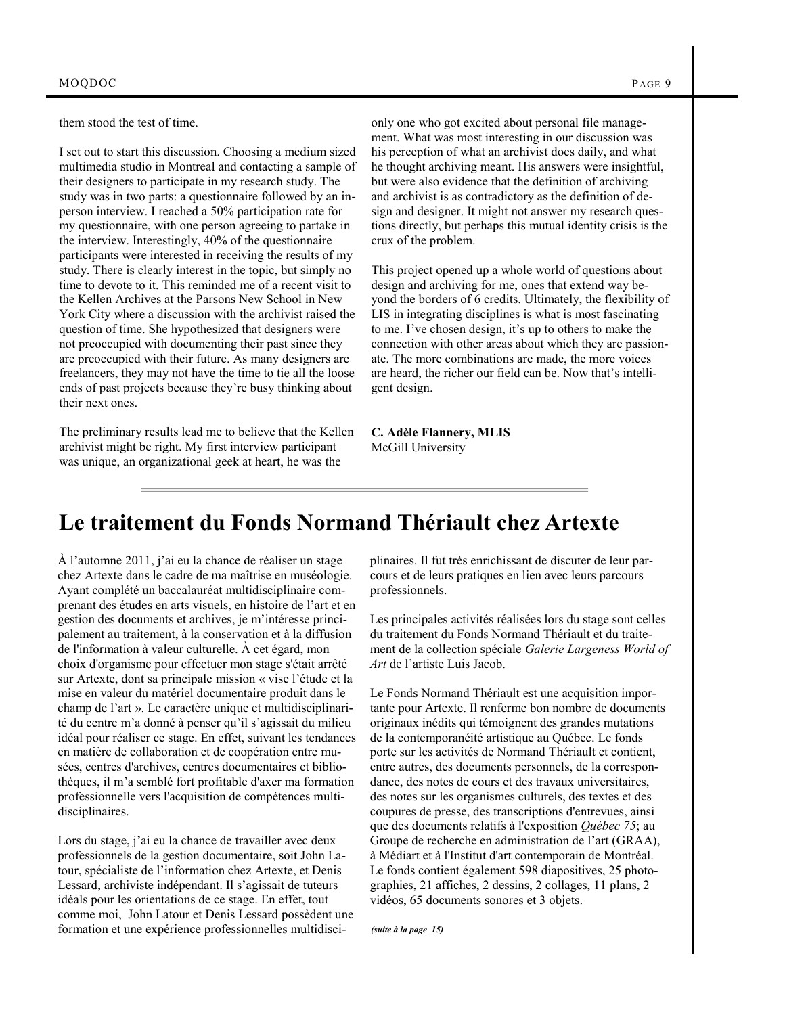them stood the test of time.

I set out to start this discussion. Choosing a medium sized multimedia studio in Montreal and contacting a sample of their designers to participate in my research study. The study was in two parts: a questionnaire followed by an inperson interview. I reached a 50% participation rate for my questionnaire, with one person agreeing to partake in the interview. Interestingly, 40% of the questionnaire participants were interested in receiving the results of my study. There is clearly interest in the topic, but simply no time to devote to it. This reminded me of a recent visit to the Kellen Archives at the Parsons New School in New York City where a discussion with the archivist raised the question of time. She hypothesized that designers were not preoccupied with documenting their past since they are preoccupied with their future. As many designers are freelancers, they may not have the time to tie all the loose ends of past projects because they're busy thinking about their next ones.

The preliminary results lead me to believe that the Kellen archivist might be right. My first interview participant was unique, an organizational geek at heart, he was the

only one who got excited about personal file management. What was most interesting in our discussion was his perception of what an archivist does daily, and what he thought archiving meant. His answers were insightful, but were also evidence that the definition of archiving and archivist is as contradictory as the definition of design and designer. It might not answer my research questions directly, but perhaps this mutual identity crisis is the crux of the problem.

This project opened up a whole world of questions about design and archiving for me, ones that extend way beyond the borders of 6 credits. Ultimately, the flexibility of LIS in integrating disciplines is what is most fascinating to me. I've chosen design, it's up to others to make the connection with other areas about which they are passionate. The more combinations are made, the more voices are heard, the richer our field can be. Now that's intelligent design.

**C. Adèle Flannery, MLIS** McGill University

# **Le traitement du Fonds Normand Thériault chez Artexte**

À l'automne 2011, j'ai eu la chance de réaliser un stage chez Artexte dans le cadre de ma maîtrise en muséologie. Ayant complété un baccalauréat multidisciplinaire comprenant des études en arts visuels, en histoire de l'art et en gestion des documents et archives, je m'intéresse principalement au traitement, à la conservation et à la diffusion de l'information à valeur culturelle. À cet égard, mon choix d'organisme pour effectuer mon stage s'était arrêté sur Artexte, dont sa principale mission « vise l'étude et la mise en valeur du matériel documentaire produit dans le champ de l'art ». Le caractère unique et multidisciplinarité du centre m'a donné à penser qu'il s'agissait du milieu idéal pour réaliser ce stage. En effet, suivant les tendances en matière de collaboration et de coopération entre musées, centres d'archives, centres documentaires et bibliothèques, il m'a semblé fort profitable d'axer ma formation professionnelle vers l'acquisition de compétences multidisciplinaires.

Lors du stage, j'ai eu la chance de travailler avec deux professionnels de la gestion documentaire, soit John Latour, spécialiste de l'information chez Artexte, et Denis Lessard, archiviste indépendant. Il s'agissait de tuteurs idéals pour les orientations de ce stage. En effet, tout comme moi, John Latour et Denis Lessard possèdent une formation et une expérience professionnelles multidisciplinaires. Il fut très enrichissant de discuter de leur parcours et de leurs pratiques en lien avec leurs parcours professionnels.

Les principales activités réalisées lors du stage sont celles du traitement du Fonds Normand Thériault et du traitement de la collection spéciale *Galerie Largeness World of Art* de l'artiste Luis Jacob.

Le Fonds Normand Thériault est une acquisition importante pour Artexte. Il renferme bon nombre de documents originaux inédits qui témoignent des grandes mutations de la contemporanéité artistique au Québec. Le fonds porte sur les activités de Normand Thériault et contient, entre autres, des documents personnels, de la correspondance, des notes de cours et des travaux universitaires, des notes sur les organismes culturels, des textes et des coupures de presse, des transcriptions d'entrevues, ainsi que des documents relatifs à l'exposition *Québec 75*; au Groupe de recherche en administration de l'art (GRAA), à Médiart et à l'Institut d'art contemporain de Montréal. Le fonds contient également 598 diapositives, 25 photographies, 21 affiches, 2 dessins, 2 collages, 11 plans, 2 vidéos, 65 documents sonores et 3 objets.

*(suite à la page 15)*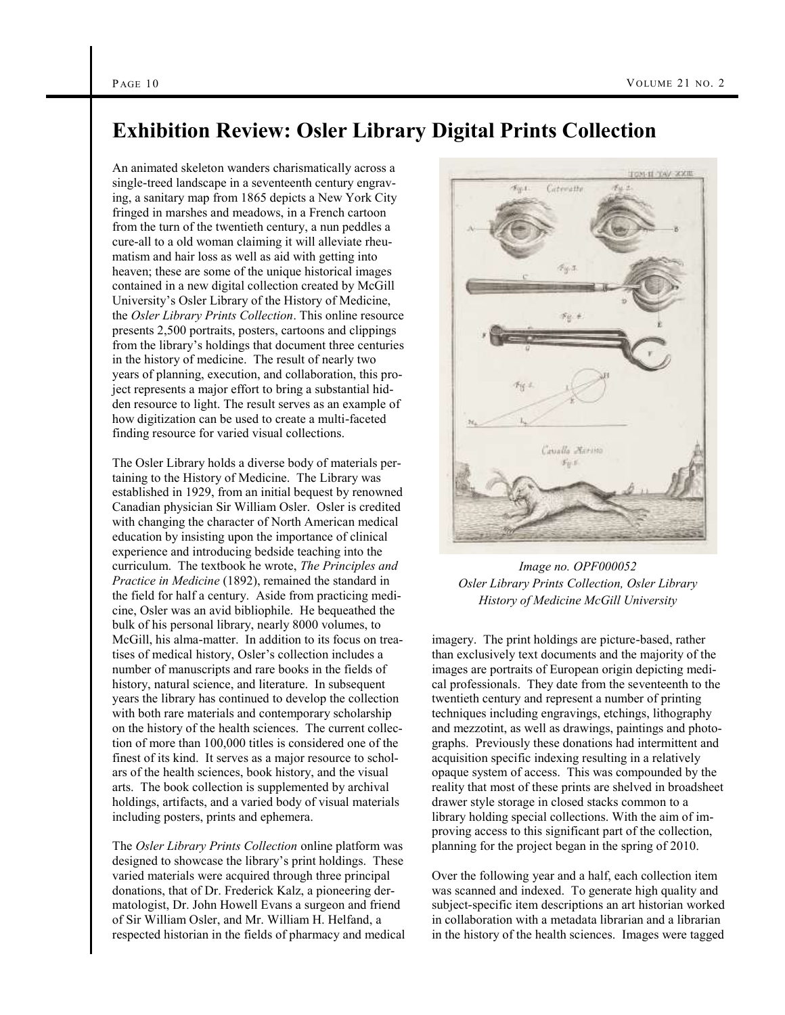## **Exhibition Review: Osler Library Digital Prints Collection**

An animated skeleton wanders charismatically across a single-treed landscape in a seventeenth century engraving, a sanitary map from 1865 depicts a New York City fringed in marshes and meadows, in a French cartoon from the turn of the twentieth century, a nun peddles a cure-all to a old woman claiming it will alleviate rheumatism and hair loss as well as aid with getting into heaven; these are some of the unique historical images contained in a new digital collection created by McGill University's Osler Library of the History of Medicine, the *Osler Library Prints Collection*. This online resource presents 2,500 portraits, posters, cartoons and clippings from the library's holdings that document three centuries in the history of medicine. The result of nearly two years of planning, execution, and collaboration, this project represents a major effort to bring a substantial hidden resource to light. The result serves as an example of how digitization can be used to create a multi-faceted finding resource for varied visual collections.

The Osler Library holds a diverse body of materials pertaining to the History of Medicine. The Library was established in 1929, from an initial bequest by renowned Canadian physician Sir William Osler. Osler is credited with changing the character of North American medical education by insisting upon the importance of clinical experience and introducing bedside teaching into the curriculum. The textbook he wrote, *The Principles and Practice in Medicine* (1892), remained the standard in the field for half a century. Aside from practicing medicine, Osler was an avid bibliophile. He bequeathed the bulk of his personal library, nearly 8000 volumes, to McGill, his alma-matter. In addition to its focus on treatises of medical history, Osler's collection includes a number of manuscripts and rare books in the fields of history, natural science, and literature. In subsequent years the library has continued to develop the collection with both rare materials and contemporary scholarship on the history of the health sciences. The current collection of more than 100,000 titles is considered one of the finest of its kind. It serves as a major resource to scholars of the health sciences, book history, and the visual arts. The book collection is supplemented by archival holdings, artifacts, and a varied body of visual materials including posters, prints and ephemera.

The *Osler Library Prints Collection* online platform was designed to showcase the library's print holdings. These varied materials were acquired through three principal donations, that of Dr. Frederick Kalz, a pioneering dermatologist, Dr. John Howell Evans a surgeon and friend of Sir William Osler, and Mr. William H. Helfand, a respected historian in the fields of pharmacy and medical



*Image no. OPF000052 Osler Library Prints Collection, Osler Library History of Medicine McGill University*

imagery. The print holdings are picture-based, rather than exclusively text documents and the majority of the images are portraits of European origin depicting medical professionals. They date from the seventeenth to the twentieth century and represent a number of printing techniques including engravings, etchings, lithography and mezzotint, as well as drawings, paintings and photographs. Previously these donations had intermittent and acquisition specific indexing resulting in a relatively opaque system of access. This was compounded by the reality that most of these prints are shelved in broadsheet drawer style storage in closed stacks common to a library holding special collections. With the aim of improving access to this significant part of the collection, planning for the project began in the spring of 2010.

Over the following year and a half, each collection item was scanned and indexed. To generate high quality and subject-specific item descriptions an art historian worked in collaboration with a metadata librarian and a librarian in the history of the health sciences. Images were tagged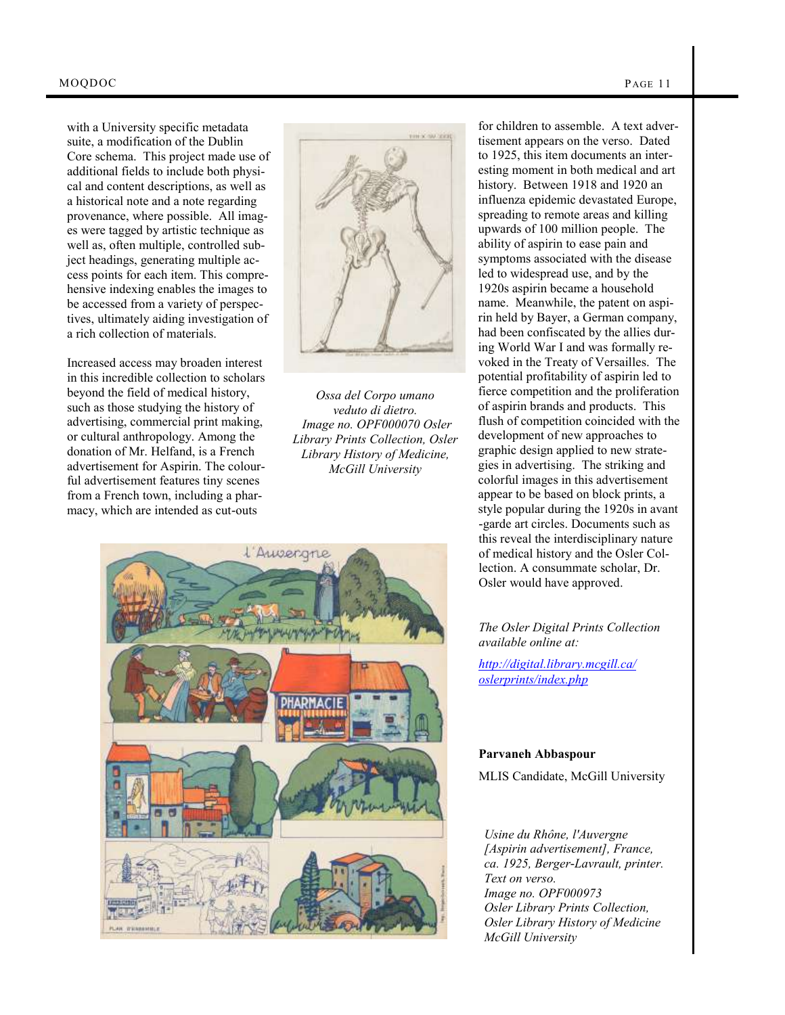with a University specific metadata suite, a modification of the Dublin Core schema. This project made use of additional fields to include both physical and content descriptions, as well as a historical note and a note regarding provenance, where possible. All images were tagged by artistic technique as well as, often multiple, controlled subject headings, generating multiple access points for each item. This comprehensive indexing enables the images to be accessed from a variety of perspectives, ultimately aiding investigation of a rich collection of materials.

Increased access may broaden interest in this incredible collection to scholars beyond the field of medical history, such as those studying the history of advertising, commercial print making, or cultural anthropology. Among the donation of Mr. Helfand, is a French advertisement for Aspirin. The colourful advertisement features tiny scenes from a French town, including a pharmacy, which are intended as cut-outs



*Ossa del Corpo umano veduto di dietro. Image no. OPF000070 Osler Library Prints Collection, Osler Library History of Medicine, McGill University*



for children to assemble. A text advertisement appears on the verso. Dated to 1925, this item documents an interesting moment in both medical and art history. Between 1918 and 1920 an influenza epidemic devastated Europe, spreading to remote areas and killing upwards of 100 million people. The ability of aspirin to ease pain and symptoms associated with the disease led to widespread use, and by the 1920s aspirin became a household name. Meanwhile, the patent on aspirin held by Bayer, a German company, had been confiscated by the allies during World War I and was formally revoked in the Treaty of Versailles. The potential profitability of aspirin led to fierce competition and the proliferation of aspirin brands and products. This flush of competition coincided with the development of new approaches to graphic design applied to new strategies in advertising. The striking and colorful images in this advertisement appear to be based on block prints, a style popular during the 1920s in avant -garde art circles. Documents such as this reveal the interdisciplinary nature of medical history and the Osler Collection. A consummate scholar, Dr. Osler would have approved.

## *The Osler Digital Prints Collection available online at:*

*[http://digital.library.mcgill.ca/](http://digital.library.mcgill.ca/oslerprints/index.php) [oslerprints/index.php](http://digital.library.mcgill.ca/oslerprints/index.php)*

#### **Parvaneh Abbaspour**

MLIS Candidate, McGill University

*Usine du Rhône, l'Auvergne [Aspirin advertisement], France, ca. 1925, Berger-Lavrault, printer. Text on verso. Image no. OPF000973 Osler Library Prints Collection, Osler Library History of Medicine McGill University*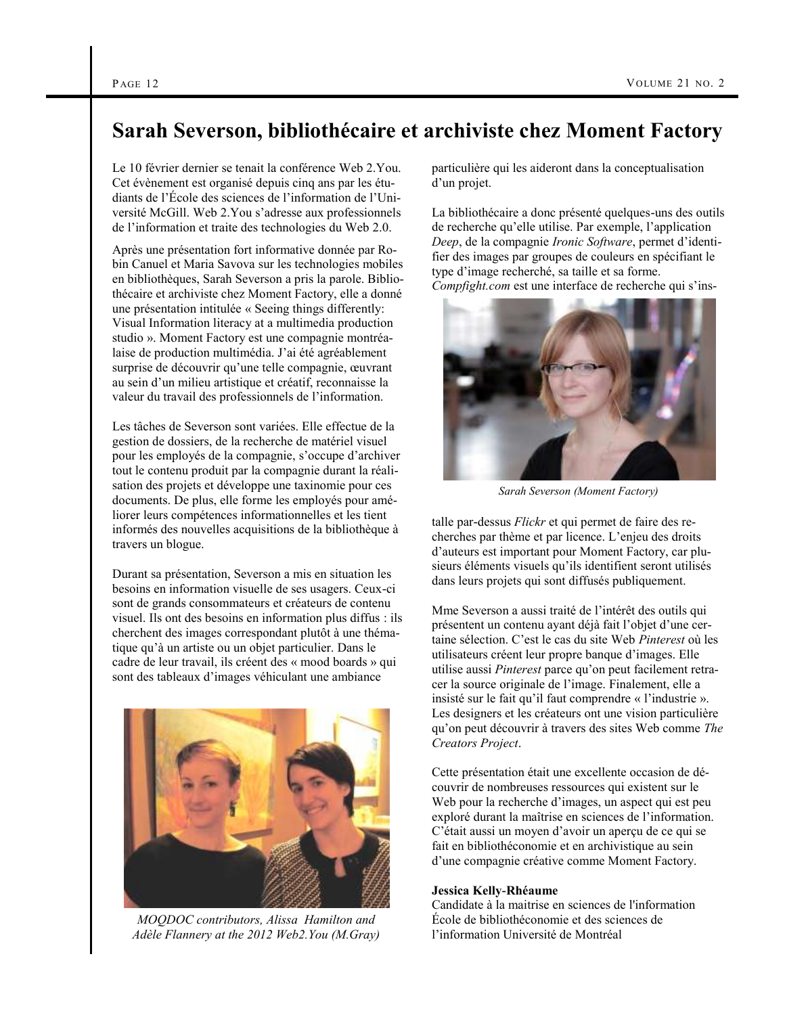## **Sarah Severson, bibliothécaire et archiviste chez Moment Factory**

Le 10 février dernier se tenait la conférence Web 2.You. Cet évènement est organisé depuis cinq ans par les étudiants de l'École des sciences de l'information de l'Université McGill. Web 2.You s'adresse aux professionnels de l'information et traite des technologies du Web 2.0.

Après une présentation fort informative donnée par Robin Canuel et Maria Savova sur les technologies mobiles en bibliothèques, Sarah Severson a pris la parole. Bibliothécaire et archiviste chez Moment Factory, elle a donné une présentation intitulée « Seeing things differently: Visual Information literacy at a multimedia production studio ». Moment Factory est une compagnie montréalaise de production multimédia. J'ai été agréablement surprise de découvrir qu'une telle compagnie, œuvrant au sein d'un milieu artistique et créatif, reconnaisse la valeur du travail des professionnels de l'information.

Les tâches de Severson sont variées. Elle effectue de la gestion de dossiers, de la recherche de matériel visuel pour les employés de la compagnie, s'occupe d'archiver tout le contenu produit par la compagnie durant la réalisation des projets et développe une taxinomie pour ces documents. De plus, elle forme les employés pour améliorer leurs compétences informationnelles et les tient informés des nouvelles acquisitions de la bibliothèque à travers un blogue.

Durant sa présentation, Severson a mis en situation les besoins en information visuelle de ses usagers. Ceux-ci sont de grands consommateurs et créateurs de contenu visuel. Ils ont des besoins en information plus diffus : ils cherchent des images correspondant plutôt à une thématique qu'à un artiste ou un objet particulier. Dans le cadre de leur travail, ils créent des « mood boards » qui sont des tableaux d'images véhiculant une ambiance



*MOQDOC contributors, Alissa Hamilton and Adèle Flannery at the 2012 Web2.You (M.Gray)*

particulière qui les aideront dans la conceptualisation d'un projet.

La bibliothécaire a donc présenté quelques-uns des outils de recherche qu'elle utilise. Par exemple, l'application *Deep*, de la compagnie *Ironic Software*, permet d'identifier des images par groupes de couleurs en spécifiant le type d'image recherché, sa taille et sa forme. *Compfight.com* est une interface de recherche qui s'ins-



*Sarah Severson (Moment Factory)*

talle par-dessus *Flickr* et qui permet de faire des recherches par thème et par licence. L'enjeu des droits d'auteurs est important pour Moment Factory, car plusieurs éléments visuels qu'ils identifient seront utilisés dans leurs projets qui sont diffusés publiquement.

Mme Severson a aussi traité de l'intérêt des outils qui présentent un contenu ayant déjà fait l'objet d'une certaine sélection. C'est le cas du site Web *Pinterest* où les utilisateurs créent leur propre banque d'images. Elle utilise aussi *Pinterest* parce qu'on peut facilement retracer la source originale de l'image. Finalement, elle a insisté sur le fait qu'il faut comprendre « l'industrie ». Les designers et les créateurs ont une vision particulière qu'on peut découvrir à travers des sites Web comme *The Creators Project*.

Cette présentation était une excellente occasion de découvrir de nombreuses ressources qui existent sur le Web pour la recherche d'images, un aspect qui est peu exploré durant la maîtrise en sciences de l'information. C'était aussi un moyen d'avoir un aperçu de ce qui se fait en bibliothéconomie et en archivistique au sein d'une compagnie créative comme Moment Factory.

### **Jessica Kelly-Rhéaume**

Candidate à la maitrise en sciences de l'information École de bibliothéconomie et des sciences de l'information Université de Montréal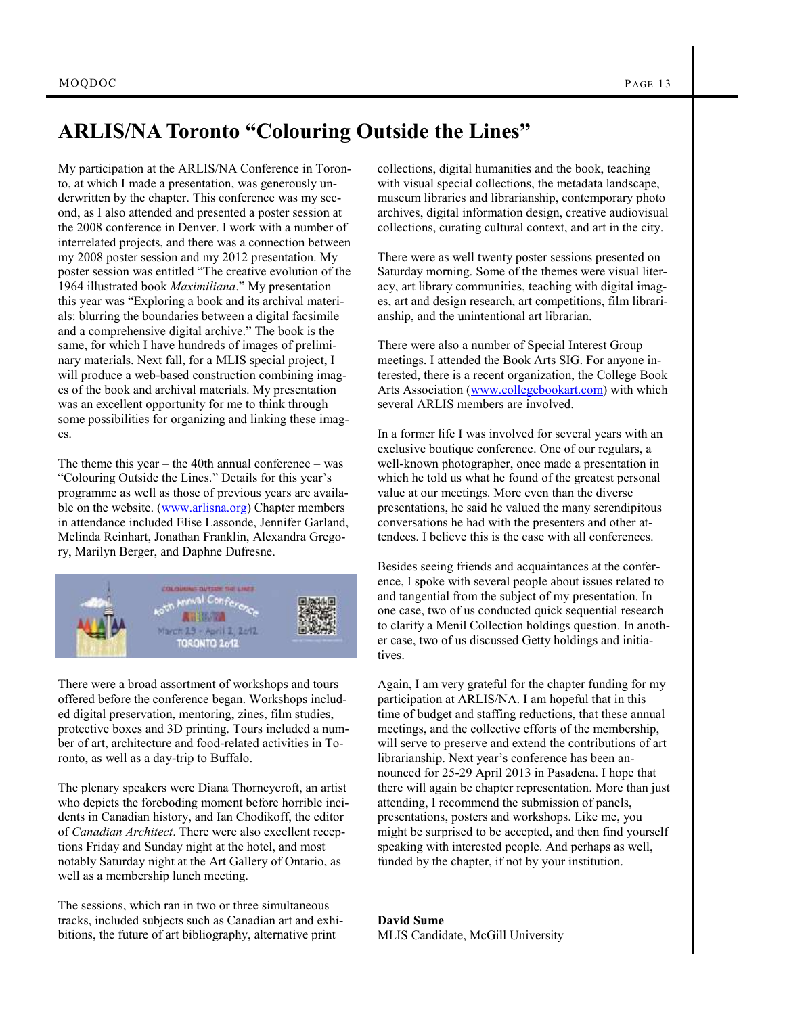## **ARLIS/NA Toronto "Colouring Outside the Lines"**

My participation at the ARLIS/NA Conference in Toronto, at which I made a presentation, was generously underwritten by the chapter. This conference was my second, as I also attended and presented a poster session at the 2008 conference in Denver. I work with a number of interrelated projects, and there was a connection between my 2008 poster session and my 2012 presentation. My poster session was entitled "The creative evolution of the 1964 illustrated book *Maximiliana*." My presentation this year was "Exploring a book and its archival materials: blurring the boundaries between a digital facsimile and a comprehensive digital archive." The book is the same, for which I have hundreds of images of preliminary materials. Next fall, for a MLIS special project, I will produce a web-based construction combining images of the book and archival materials. My presentation was an excellent opportunity for me to think through some possibilities for organizing and linking these images.

The theme this year – the 40th annual conference – was "Colouring Outside the Lines." Details for this year's programme as well as those of previous years are available on the website. ([www.arlisna.org\)](http://www.arlisna.org/) Chapter members in attendance included Elise Lassonde, Jennifer Garland, Melinda Reinhart, Jonathan Franklin, Alexandra Gregory, Marilyn Berger, and Daphne Dufresne.



There were a broad assortment of workshops and tours offered before the conference began. Workshops included digital preservation, mentoring, zines, film studies, protective boxes and 3D printing. Tours included a number of art, architecture and food-related activities in Toronto, as well as a day-trip to Buffalo.

The plenary speakers were Diana Thorneycroft, an artist who depicts the foreboding moment before horrible incidents in Canadian history, and Ian Chodikoff, the editor of *Canadian Architect*. There were also excellent receptions Friday and Sunday night at the hotel, and most notably Saturday night at the Art Gallery of Ontario, as well as a membership lunch meeting.

The sessions, which ran in two or three simultaneous tracks, included subjects such as Canadian art and exhibitions, the future of art bibliography, alternative print

collections, digital humanities and the book, teaching with visual special collections, the metadata landscape, museum libraries and librarianship, contemporary photo archives, digital information design, creative audiovisual collections, curating cultural context, and art in the city.

There were as well twenty poster sessions presented on Saturday morning. Some of the themes were visual literacy, art library communities, teaching with digital images, art and design research, art competitions, film librarianship, and the unintentional art librarian.

There were also a number of Special Interest Group meetings. I attended the Book Arts SIG. For anyone interested, there is a recent organization, the College Book Arts Association [\(www.collegebookart.com\)](http://www.collegebookart.com) with which several ARLIS members are involved.

In a former life I was involved for several years with an exclusive boutique conference. One of our regulars, a well-known photographer, once made a presentation in which he told us what he found of the greatest personal value at our meetings. More even than the diverse presentations, he said he valued the many serendipitous conversations he had with the presenters and other attendees. I believe this is the case with all conferences.

Besides seeing friends and acquaintances at the conference, I spoke with several people about issues related to and tangential from the subject of my presentation. In one case, two of us conducted quick sequential research to clarify a Menil Collection holdings question. In another case, two of us discussed Getty holdings and initiatives.

Again, I am very grateful for the chapter funding for my participation at ARLIS/NA. I am hopeful that in this time of budget and staffing reductions, that these annual meetings, and the collective efforts of the membership, will serve to preserve and extend the contributions of art librarianship. Next year's conference has been announced for 25-29 April 2013 in Pasadena. I hope that there will again be chapter representation. More than just attending, I recommend the submission of panels, presentations, posters and workshops. Like me, you might be surprised to be accepted, and then find yourself speaking with interested people. And perhaps as well, funded by the chapter, if not by your institution.

**David Sume** MLIS Candidate, McGill University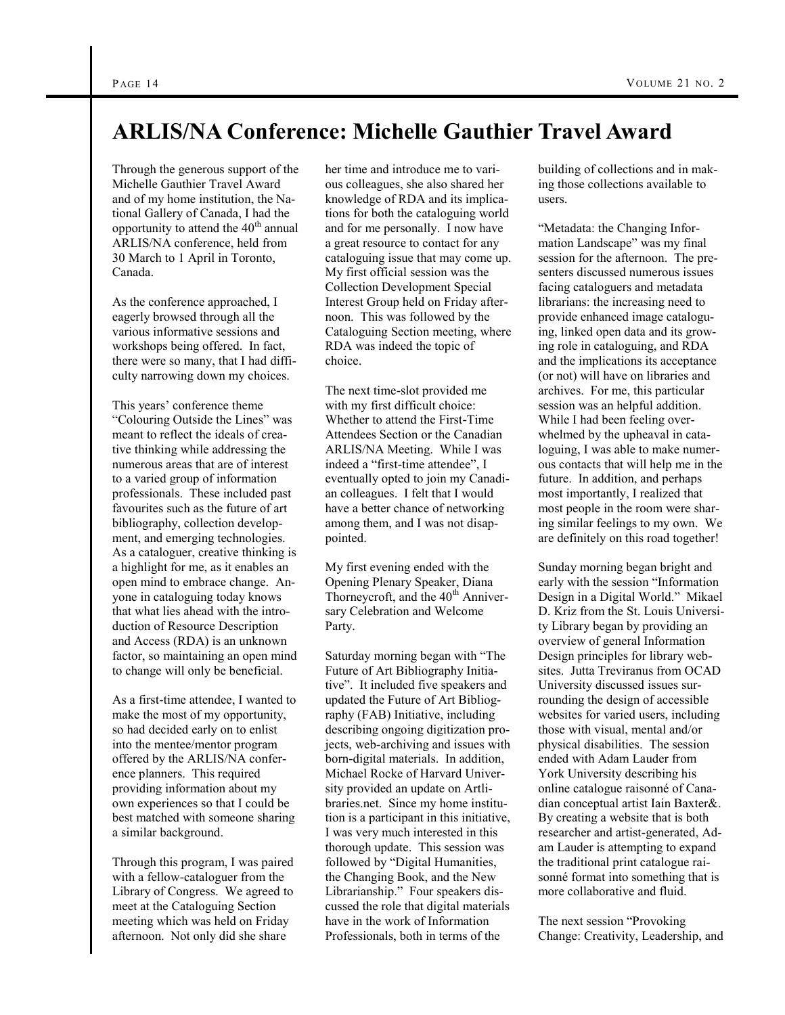# **ARLIS/NA Conference: Michelle Gauthier Travel Award**

Through the generous support of the Michelle Gauthier Travel Award and of my home institution, the National Gallery of Canada, I had the opportunity to attend the 40<sup>th</sup> annual ARLIS/NA conference, held from 30 March to 1 April in Toronto, Canada.

As the conference approached, I eagerly browsed through all the various informative sessions and workshops being offered. In fact, there were so many, that I had difficulty narrowing down my choices.

This years' conference theme "Colouring Outside the Lines" was meant to reflect the ideals of creative thinking while addressing the numerous areas that are of interest to a varied group of information professionals. These included past favourites such as the future of art bibliography, collection development, and emerging technologies. As a cataloguer, creative thinking is a highlight for me, as it enables an open mind to embrace change. Anyone in cataloguing today knows that what lies ahead with the introduction of Resource Description and Access (RDA) is an unknown factor, so maintaining an open mind to change will only be beneficial.

As a first-time attendee, I wanted to make the most of my opportunity, so had decided early on to enlist into the mentee/mentor program offered by the ARLIS/NA conference planners. This required providing information about my own experiences so that I could be best matched with someone sharing a similar background.

Through this program, I was paired with a fellow-cataloguer from the Library of Congress. We agreed to meet at the Cataloguing Section meeting which was held on Friday afternoon. Not only did she share

her time and introduce me to various colleagues, she also shared her knowledge of RDA and its implications for both the cataloguing world and for me personally. I now have a great resource to contact for any cataloguing issue that may come up. My first official session was the Collection Development Special Interest Group held on Friday afternoon. This was followed by the Cataloguing Section meeting, where RDA was indeed the topic of choice.

The next time-slot provided me with my first difficult choice: Whether to attend the First-Time Attendees Section or the Canadian ARLIS/NA Meeting. While I was indeed a "first-time attendee", I eventually opted to join my Canadian colleagues. I felt that I would have a better chance of networking among them, and I was not disappointed.

My first evening ended with the Opening Plenary Speaker, Diana Thorneycroft, and the  $40<sup>th</sup>$  Anniversary Celebration and Welcome Party.

Saturday morning began with "The Future of Art Bibliography Initiative". It included five speakers and updated the Future of Art Bibliography (FAB) Initiative, including describing ongoing digitization projects, web-archiving and issues with born-digital materials. In addition, Michael Rocke of Harvard University provided an update on Artlibraries.net. Since my home institution is a participant in this initiative, I was very much interested in this thorough update. This session was followed by "Digital Humanities, the Changing Book, and the New Librarianship." Four speakers discussed the role that digital materials have in the work of Information Professionals, both in terms of the

building of collections and in making those collections available to users.

"Metadata: the Changing Information Landscape" was my final session for the afternoon. The presenters discussed numerous issues facing cataloguers and metadata librarians: the increasing need to provide enhanced image cataloguing, linked open data and its growing role in cataloguing, and RDA and the implications its acceptance (or not) will have on libraries and archives. For me, this particular session was an helpful addition. While I had been feeling overwhelmed by the upheaval in cataloguing, I was able to make numerous contacts that will help me in the future. In addition, and perhaps most importantly, I realized that most people in the room were sharing similar feelings to my own. We are definitely on this road together!

Sunday morning began bright and early with the session "Information Design in a Digital World." Mikael D. Kriz from the St. Louis University Library began by providing an overview of general Information Design principles for library websites. Jutta Treviranus from OCAD University discussed issues surrounding the design of accessible websites for varied users, including those with visual, mental and/or physical disabilities. The session ended with Adam Lauder from York University describing his online catalogue raisonné of Canadian conceptual artist Iain Baxter&. By creating a website that is both researcher and artist-generated, Adam Lauder is attempting to expand the traditional print catalogue raisonné format into something that is more collaborative and fluid.

The next session "Provoking Change: Creativity, Leadership, and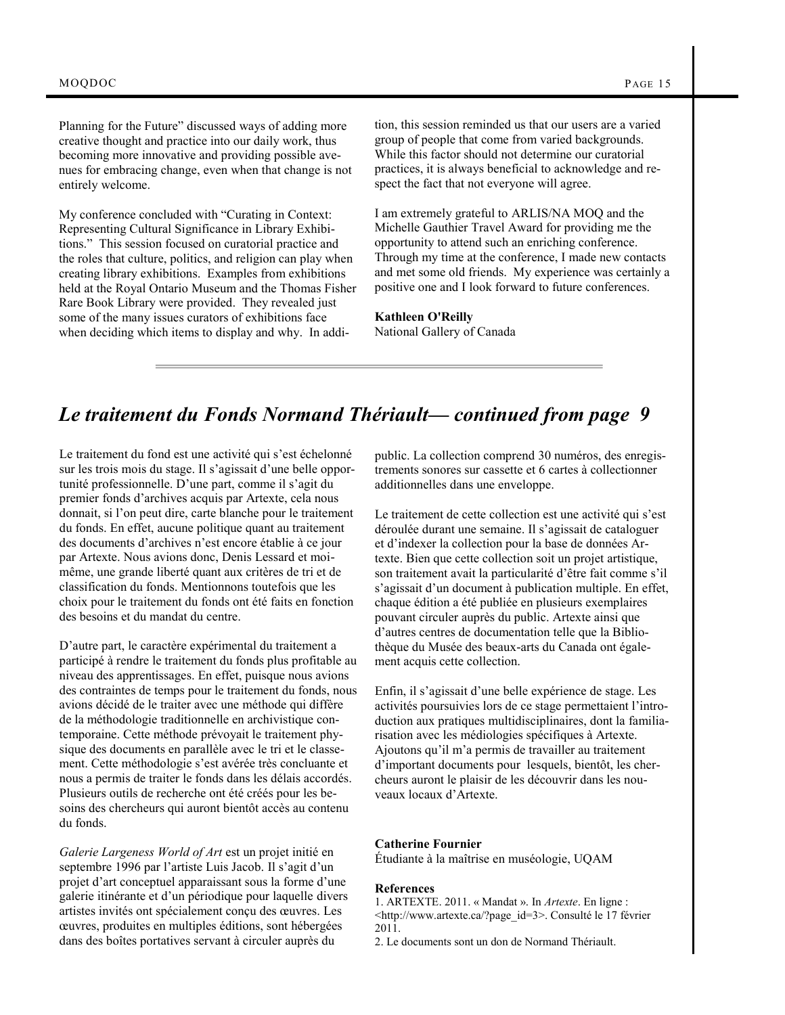Planning for the Future" discussed ways of adding more creative thought and practice into our daily work, thus becoming more innovative and providing possible avenues for embracing change, even when that change is not entirely welcome.

My conference concluded with "Curating in Context: Representing Cultural Significance in Library Exhibitions." This session focused on curatorial practice and the roles that culture, politics, and religion can play when creating library exhibitions. Examples from exhibitions held at the Royal Ontario Museum and the Thomas Fisher Rare Book Library were provided. They revealed just some of the many issues curators of exhibitions face when deciding which items to display and why. In addition, this session reminded us that our users are a varied group of people that come from varied backgrounds. While this factor should not determine our curatorial practices, it is always beneficial to acknowledge and respect the fact that not everyone will agree.

I am extremely grateful to ARLIS/NA MOQ and the Michelle Gauthier Travel Award for providing me the opportunity to attend such an enriching conference. Through my time at the conference, I made new contacts and met some old friends. My experience was certainly a positive one and I look forward to future conferences.

**Kathleen O'Reilly** National Gallery of Canada

## *Le traitement du Fonds Normand Thériault— continued from page 9*

Le traitement du fond est une activité qui s'est échelonné sur les trois mois du stage. Il s'agissait d'une belle opportunité professionnelle. D'une part, comme il s'agit du premier fonds d'archives acquis par Artexte, cela nous donnait, si l'on peut dire, carte blanche pour le traitement du fonds. En effet, aucune politique quant au traitement des documents d'archives n'est encore établie à ce jour par Artexte. Nous avions donc, Denis Lessard et moimême, une grande liberté quant aux critères de tri et de classification du fonds. Mentionnons toutefois que les choix pour le traitement du fonds ont été faits en fonction des besoins et du mandat du centre.

D'autre part, le caractère expérimental du traitement a participé à rendre le traitement du fonds plus profitable au niveau des apprentissages. En effet, puisque nous avions des contraintes de temps pour le traitement du fonds, nous avions décidé de le traiter avec une méthode qui diffère de la méthodologie traditionnelle en archivistique contemporaine. Cette méthode prévoyait le traitement physique des documents en parallèle avec le tri et le classement. Cette méthodologie s'est avérée très concluante et nous a permis de traiter le fonds dans les délais accordés. Plusieurs outils de recherche ont été créés pour les besoins des chercheurs qui auront bientôt accès au contenu du fonds.

*Galerie Largeness World of Art* est un projet initié en septembre 1996 par l'artiste Luis Jacob. Il s'agit d'un projet d'art conceptuel apparaissant sous la forme d'une galerie itinérante et d'un périodique pour laquelle divers artistes invités ont spécialement conçu des œuvres. Les œuvres, produites en multiples éditions, sont hébergées dans des boîtes portatives servant à circuler auprès du

public. La collection comprend 30 numéros, des enregistrements sonores sur cassette et 6 cartes à collectionner additionnelles dans une enveloppe.

Le traitement de cette collection est une activité qui s'est déroulée durant une semaine. Il s'agissait de cataloguer et d'indexer la collection pour la base de données Artexte. Bien que cette collection soit un projet artistique, son traitement avait la particularité d'être fait comme s'il s'agissait d'un document à publication multiple. En effet, chaque édition a été publiée en plusieurs exemplaires pouvant circuler auprès du public. Artexte ainsi que d'autres centres de documentation telle que la Bibliothèque du Musée des beaux-arts du Canada ont également acquis cette collection.

Enfin, il s'agissait d'une belle expérience de stage. Les activités poursuivies lors de ce stage permettaient l'introduction aux pratiques multidisciplinaires, dont la familiarisation avec les médiologies spécifiques à Artexte. Ajoutons qu'il m'a permis de travailler au traitement d'important documents pour lesquels, bientôt, les chercheurs auront le plaisir de les découvrir dans les nouveaux locaux d'Artexte.

## **Catherine Fournier**

Étudiante à la maîtrise en muséologie, UQAM

#### **References**

1. ARTEXTE. 2011. « Mandat ». In *Artexte*. En ligne : <http://www.artexte.ca/?page\_id=3>. Consulté le 17 février  $2011.$ 

2. Le documents sont un don de Normand Thériault.